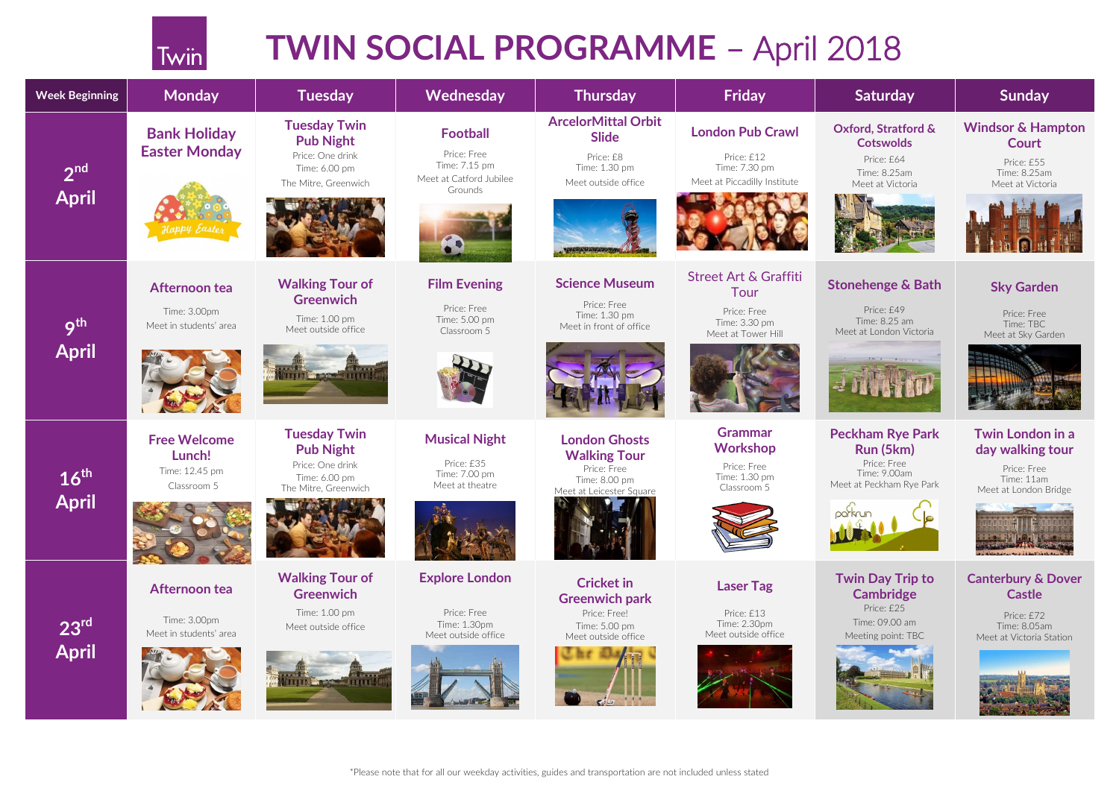# **TWIN SOCIAL PROGRAMME** – April 2018

### **Oxford, Stratford & Cotswolds**



### **Windsor & Hampton Court**

Price: £55 Time: 8.25am Meet at Victoria





| <b>Week Beginning</b>            | <b>Monday</b>                          | <b>Tuesday</b>                                            | Wednesday                                               | <b>Thursday</b>                                         | <b>Friday</b>                                               | <b>Saturday</b>                                         | <b>Sunday</b>                                    |
|----------------------------------|----------------------------------------|-----------------------------------------------------------|---------------------------------------------------------|---------------------------------------------------------|-------------------------------------------------------------|---------------------------------------------------------|--------------------------------------------------|
| 2 <sup>nd</sup><br><b>April</b>  | <b>Bank Holiday</b>                    | <b>Tuesday Twin</b><br><b>Pub Night</b>                   | <b>Football</b>                                         | <b>ArcelorMittal Orbit</b><br><b>Slide</b>              | <b>London Pub Crawl</b>                                     | <b>Oxford, Stratford &amp;</b><br><b>Cotswolds</b>      | <b>Windsor &amp; Hat</b><br><b>Court</b>         |
|                                  | <b>Easter Monday</b>                   | Price: One drink<br>Time: 6.00 pm<br>The Mitre, Greenwich | Price: Free<br>Time: 7.15 pm<br>Meet at Catford Jubilee | Price: £8<br>Time: 1.30 pm<br>Meet outside office       | Price: £12<br>Time: 7.30 pm<br>Meet at Piccadilly Institute | Price: £64<br>Time: 8.25am<br>Meet at Victoria          | Price: £55<br>Time: 8.25ar<br>Meet at Victo      |
|                                  | appy castes                            |                                                           | Grounds                                                 |                                                         |                                                             |                                                         |                                                  |
|                                  |                                        |                                                           |                                                         |                                                         |                                                             |                                                         |                                                  |
| 9 <sup>th</sup><br><b>April</b>  | Afternoon tea                          | <b>Walking Tour of</b><br><b>Greenwich</b>                | <b>Film Evening</b>                                     | <b>Science Museum</b>                                   | <b>Street Art &amp; Graffiti</b><br>Tour                    | <b>Stonehenge &amp; Bath</b>                            | <b>Sky Garde</b>                                 |
|                                  | Time: 3.00pm<br>Meet in students' area | Time: 1.00 pm<br>Meet outside office                      | Price: Free<br>Time: 5.00 pm<br>Classroom 5             | Price: Free<br>Time: 1.30 pm<br>Meet in front of office | Price: Free<br>Time: 3.30 pm<br>Meet at Tower Hill          | Price: £49<br>Time: 8.25 am<br>Meet at London Victoria  | Price: Free<br>Time: TBC<br>Meet at Sky Gar      |
|                                  |                                        | <b>A TELEVISION CONTRACTOR</b>                            |                                                         |                                                         |                                                             |                                                         |                                                  |
| $16^{\text{th}}$<br><b>April</b> | <b>Free Welcome</b><br>Lunch!          | <b>Tuesday Twin</b><br><b>Pub Night</b>                   | <b>Musical Night</b>                                    | <b>London Ghosts</b><br><b>Walking Tour</b>             | <b>Grammar</b><br><b>Workshop</b>                           | <b>Peckham Rye Park</b><br>Run (5km)                    | <b>Twin Londor</b><br>day walking                |
|                                  | Time: 12.45 pm<br>Classroom 5          | Price: One drink<br>Time: 6.00 pm<br>The Mitre, Greenwich | Price: £35<br>Time: 7.00 pm<br>Meet at theatre          | Price: Free<br>Time: 8.00 pm                            | Price: Free<br>Time: 1.30 pm<br>Classroom 5                 | Price: Free<br>Time: 9.00am<br>Meet at Peckham Rye Park | Price: Free<br>Time: 11am                        |
|                                  |                                        |                                                           |                                                         | Meet at Leicester Square                                |                                                             | parkrui                                                 | Meet at London E                                 |
|                                  |                                        |                                                           |                                                         |                                                         |                                                             |                                                         |                                                  |
| 23 <sup>rd</sup><br><b>April</b> | Afternoon tea                          | <b>Walking Tour of</b><br><b>Greenwich</b>                | <b>Explore London</b>                                   | <b>Cricket in</b><br><b>Greenwich park</b>              | <b>Laser Tag</b>                                            | <b>Twin Day Trip to</b><br><b>Cambridge</b>             | <b>Canterbury &amp;</b><br><b>Castle</b>         |
|                                  | Time: 3.00pm<br>Meet in students' area | Time: 1.00 pm<br>Meet outside office                      | Price: Free<br>Time: 1.30pm<br>Meet outside office      | Price: Free!<br>Time: 5.00 pm<br>Meet outside office    | Price: £13<br>Time: 2.30pm<br>Meet outside office           | Price: £25<br>Time: 09.00 am<br>Meeting point: TBC      | Price: £72<br>Time: 8.05ar<br>Meet at Victoria S |
|                                  |                                        | <b>THE REPORT OF PROPERTY</b>                             |                                                         |                                                         |                                                             |                                                         |                                                  |

Twin

## **Stonehenge & Bath**



# **Sky Garden**

Price: Free Time: TBC Meet at Sky Garden



# **Peckham Rye Park Run (5km)**

### **Twin London in a day walking tour**

Price: Free Time: 11am Meet at London Bridge



# **Twin Day Trip to Cambridge**



### **[Canterbury & Dover](https://www.google.co.uk/url?sa=i&rct=j&q=&esrc=s&source=images&cd=&cad=rja&uact=8&ved=0ahUKEwiWxJqnuZvYAhVMWRQKHcSWDukQjRwIBw&url=https://www.tripadvisor.co.uk/Attraction_Review-g186338-d12537858-Reviews-Hollywood_Bowl_at_The_O2-London_England.html&psig=AOvVaw3OgdYwWdxhr1BqoKSvhoA0&ust=1513957485393888)  Castle**

Price: £72 Time: 8.05am Meet at Victoria Station